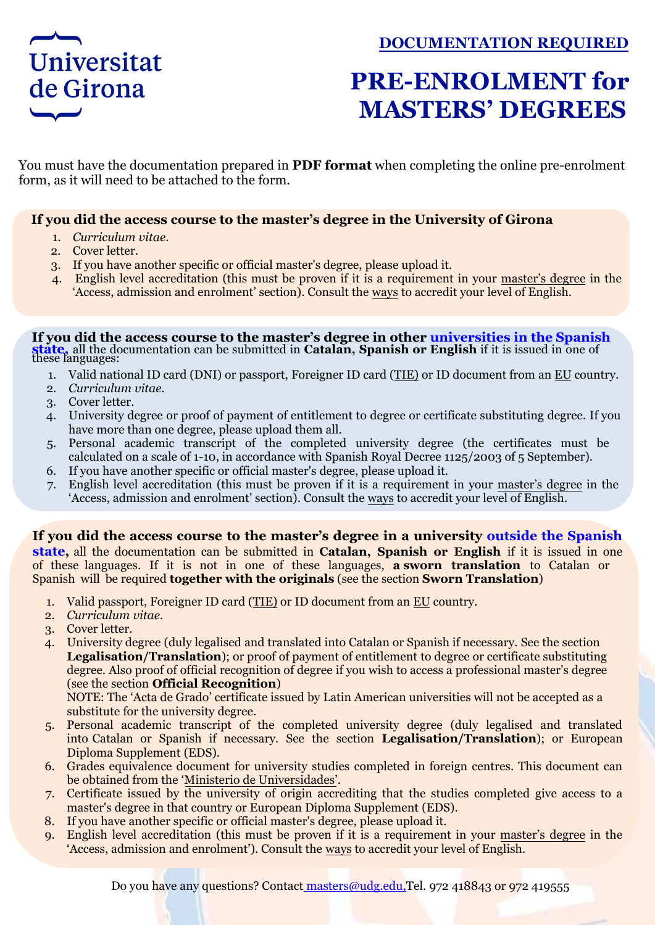**DOCUMENTATION REQUIRED**



# **PRE-ENROLMENT for MASTERS' DEGREES**

You must have the documentation prepared in **PDF format** when completing the online pre-enrolment form, as it will need to be attached to the form.

## **If you did the access course to the master's degree in the University of Girona**

- 1. *Curriculum vitae*.
- 2. Cover letter.
- 3. If you have another specific or official master's degree, please upload it.
- 4. English level accreditation (this must be proven if it is a requirement in your [master's degree](https://www.udg.edu/ca/estudia/Oferta-formativa/Masters-universitaris) in the 'Access, admission and enrolment' section). Consult the [ways](https://www.udg.edu/ca/Portals/13/Acreditació%203a%20llengua/1584496.pdf?ver=2017-07-04-104139-930) to accredit your level of English.

**If you did the access course to the master's degree in other universities in the Spanish state,** all the documentation can be submitted in **Catalan, Spanish or English** if it is issued in one of these languages:

- 1. Valid national ID card (DNI) or passport, [Foreigner ID card \(TIE\)](http://www.interior.gob.es/ca/web/servicios-al-ciudadano/extranjeria/regimen-general/tarjeta-de-identidad-de-extranjero) or ID document from an [EU](https://europa.eu/european-union/about-eu/countries_es) country.
- 2. *Curriculum vitae.*
- 3. Cover letter.
- 4. University degree or proof of payment of entitlement to degree or certificate substituting degree. If you have more than one degree, please upload them all.
- 5. Personal academic transcript of the completed university degree (the certificates must be calculated on a scale of 1-10, in accordance with Spanish Royal Decree 1125/2003 of 5 September).
- 6. If you have another specific or official master's degree, please upload it.
- 7. English level accreditation (this must be proven if it is a requirement in your [master's degree](https://www.udg.edu/ca/estudia/Oferta-formativa/Masters-universitaris) in the 'Access, admission and enrolment' section). Consult the [ways](https://www.udg.edu/ca/Portals/13/Acreditació%203a%20llengua/1584496.pdf?ver=2017-07-04-104139-930) to accredit your level of English.

**If you did the access course to the master's degree in a university outside the Spanish state,** all the documentation can be submitted in **Catalan, Spanish or English** if it is issued in one of these languages. If it is not in one of these languages, **a sworn translation** to Catalan or Spanish will be required **together with the originals** (see the section **Sworn Translation**)

- 1. Valid passport, [Foreigner ID card \(TIE\)](http://www.interior.gob.es/ca/web/servicios-al-ciudadano/extranjeria/regimen-general/tarjeta-de-identidad-de-extranjero) or ID document from an [EU](https://europa.eu/european-union/about-eu/countries_es) country.
- 2. *Curriculum vitae.*
- 3. Cover letter.
- 4. University degree (duly legalised and translated into Catalan or Spanish if necessary. See the section **Legalisation/Translation**); or proof of payment of entitlement to degree or certificate substituting degree. Also proof of official recognition of degree if you wish to access a professional master's degree (see the section **Official Recognition**)

NOTE: The 'Acta de Grado' certificate issued by Latin American universities will not be accepted as a substitute for the university degree.

- 5. Personal academic transcript of the completed university degree (duly legalised and translated into Catalan or Spanish if necessary. See the section **Legalisation/Translation**); or European Diploma Supplement (EDS).
- 6. Grades equivalence document for university studies completed in foreign centres. This document can be obtained from the 'Ministerio [de](https://sede.educacion.gob.es/tramite/login/inicio.jjsp?idConvocatoria=818) [Universidades](http://www.educacionyfp.gob.es/servicios-al-ciudadano/catalogo/gestion-titulos/estudios-universitarios/titulos-extranjeros/equivalencia-notas-medias.html)'.
- 7. Certificate issued by the university of origin accrediting that the studies completed give access to a master's degree in that country or European Diploma Supplement (EDS).
- 8. If you have another specific or official master's degree, please upload it.
- 9. English level accreditation (this must be proven if it is a requirement in your [master's degree](https://www.udg.edu/ca/estudia/Oferta-formativa/Masters-universitaris) in the 'Access, admission and enrolment'). Consult the [ways](https://www.udg.edu/ca/Portals/13/Acreditació%203a%20llengua/1584496.pdf?ver=2017-07-04-104139-930) to accredit your level of English.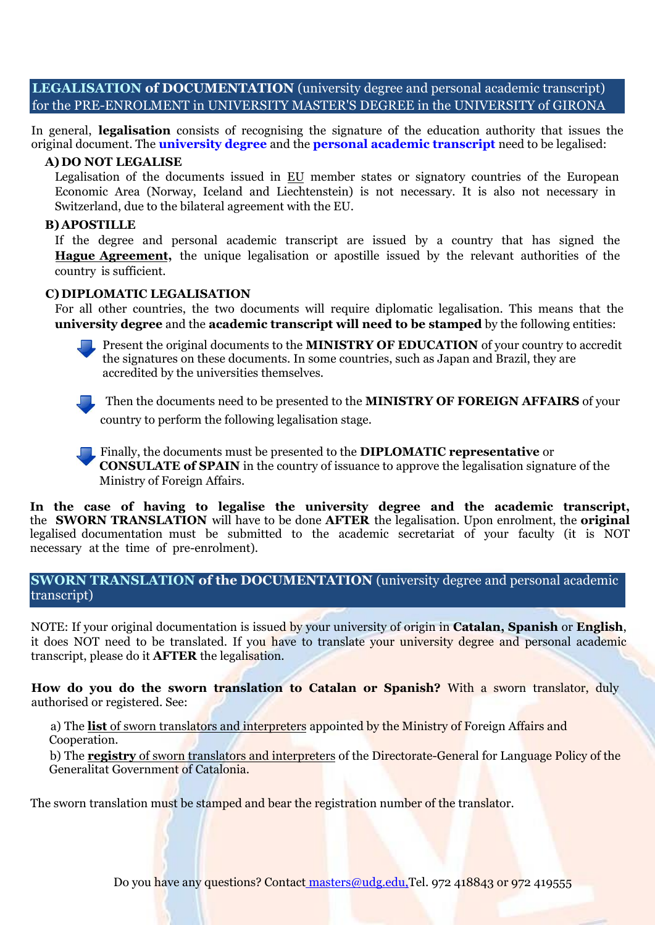**LEGALISATION of DOCUMENTATION** (university degree and personal academic transcript) for the PRE-ENROLMENT in UNIVERSITY MASTER'S DEGREE in the UNIVERSITY of GIRONA

In general, **legalisation** consists of recognising the signature of the education authority that issues the original document. The **university degree** and the **personal academic transcript** need to be legalised:

#### **A) DO NOT LEGALISE**

Legalisation of the documents issued in [EU](https://europa.eu/european-union/about-eu/countries_es) member states or signatory countries of the European Economic Area (Norway, Iceland and Liechtenstein) is not necessary. It is also not necessary in Switzerland, due to the bilateral agreement with the EU.

#### **B)APOSTILLE**

[If the degree and personal academic transcript are issued by a country that has signed the](https://www.hcch.net/es/instruments/conventions/authorities1/?cid=41) **Hague Agreement,** the unique legalisation or apostille issued by the relevant authorities of the country is sufficient.

#### **C) DIPLOMATIC LEGALISATION**

For all other countries, the two documents will require diplomatic legalisation. This means that the **university degree** and the **academic transcript will need to be stamped** by the following entities:

Present the original documents to the **MINISTRY OF EDUCATION** of your country to accredit the signatures on these documents. In some countries, such as Japan and Brazil, they are accredited by the universities themselves.

Then the documents need to be presented to the **MINISTRY OF FOREIGN AFFAIRS** of your country to perform the following legalisation stage.

Finally, the documents must be presented to the **DIPLOMATIC representative** or **CONSULATE of SPAIN** in the country of issuance to approve the legalisation signature of the Ministry of Foreign Affairs.

**In the case of having to legalise the university degree and the academic transcript,** the **SWORN TRANSLATION** will have to be done **AFTER** the legalisation. Upon enrolment, the **original** legalised documentation must be submitted to the academic secretariat of your faculty (it is NOT necessary at the time of pre-enrolment).

## **SWORN TRANSLATION of the DOCUMENTATION** (university degree and personal academic transcript)

NOTE: If your original documentation is issued by your university of origin in **Catalan, Spanish** or **English**, it does NOT need to be translated. If you have to translate your university degree and personal academic transcript, please do it **AFTER** the legalisation.

**How do you do the sworn translation to Catalan or Spanish?** With a sworn translator, duly authorised or registered. See:

a) The **list** [of sworn translators and interpreters](http://www.exteriores.gob.es/Portal/es/ServiciosAlCiudadano/Documents/Listado%20actualizado.pdf) appointed by the Ministry of Foreign Affairs and Cooperation.

b) The **registry** [of sworn translators and interpreters](http://llengua.gencat.cat/ca/serveis/acreditacio_coneixements/traduccio_i_interpretacio_jurades/registre_de_traductors_i_interprets_jurats) of the Directorate-General for Language Policy of the Generalitat Government of Catalonia.

The sworn translation must be stamped and bear the registration number of the translator.